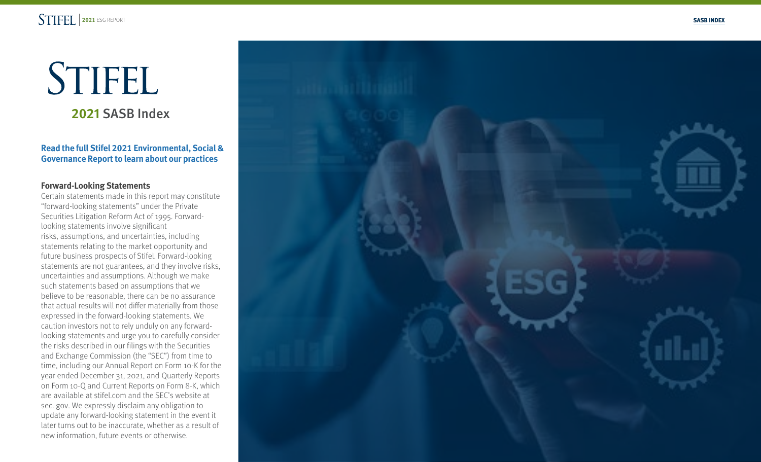## STIFEL **2021** SASB Index

**Read the full St ifel 2021 Environmental, Social & Governance Report to learn about our practices**

#### **Forward-Looking Statements**

Certain statements made in this report may constitute "forward-looking statements" under the Private Securities Litigation Reform Act of 1995. Forwardlooking statements involve significant risks, assumptions, and uncertainties, including statements relating to the market opportunity and future business prospects of Stifel. Forward-looking statements are not guarantees, and they involve risks, uncertainties and assumptions. Although we make such statements based on assumptions that we believe to be reasonable, there can be no assurance that actual results will not differ materially from those expressed in the forward-looking statements. We caution investors not to rely unduly on any forwardlooking statements and urge you to carefully consider the risks described in our filings with the Securities and Exchange Commission (the "SEC") from time to time, including our Annual Report on Form 10-K for the year ended December 31, 2021, and Quarterly Reports on Form 10-Q and Current Reports on Form 8-K, which are available at stifel.com and the SEC's website at sec. gov. We expressly disclaim any obligation to update any forward-looking statement in the event it later turns out to be inaccurate, whether as a result of new information, future events or otherwise.

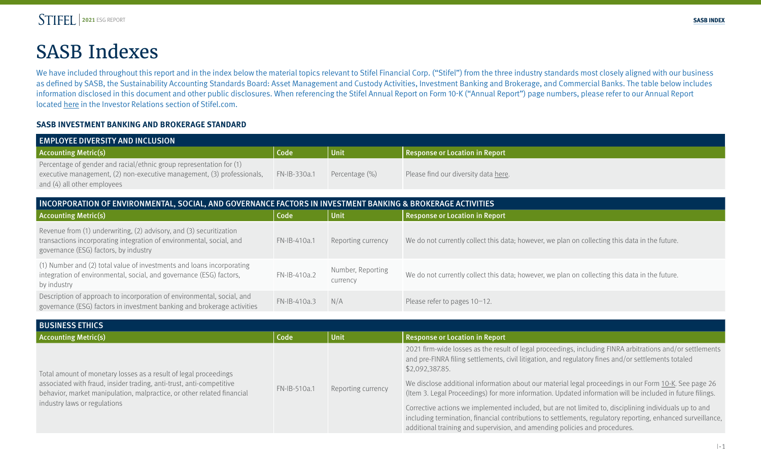### <span id="page-1-0"></span>SASB Indexes

We have included throughout this report and in the index below the material topics relevant to Stifel Financial Corp. ("Stifel") from the three industry standards most closely aligned with our business as defined by SASB, the Sustainability Accounting Standards Board: Asset Management and Custody Activities, Investment Banking and Brokerage, and Commercial Banks. The table below includes information disclosed in this document and other public disclosures. When referencing the Stifel Annual Report on Form 10-K ("Annual Report") page numbers, please refer to our Annual Report located [here](http://www.stifel.com/sustainability) in the Investor Relations section of Stifel.com.

#### **SASB INVESTMENT BANKING AND BROKERAGE STANDARD**

| <b>EMPLOYEE DIVERSITY AND INCLUSION</b>                                                                                                                                                                                                            |              |                               |                                                                                                                                                                                                                                     |  |  |  |
|----------------------------------------------------------------------------------------------------------------------------------------------------------------------------------------------------------------------------------------------------|--------------|-------------------------------|-------------------------------------------------------------------------------------------------------------------------------------------------------------------------------------------------------------------------------------|--|--|--|
| <b>Accounting Metric(s)</b>                                                                                                                                                                                                                        | Code         | Unit                          | <b>Response or Location in Report</b>                                                                                                                                                                                               |  |  |  |
| Percentage of gender and racial/ethnic group representation for (1)<br>executive management, (2) non-executive management, (3) professionals,<br>and (4) all other employees                                                                       | FN-IB-330a.1 | Percentage (%)                | Please find our diversity data here.                                                                                                                                                                                                |  |  |  |
| INCORPORATION OF ENVIRONMENTAL, SOCIAL, AND GOVERNANCE FACTORS IN INVESTMENT BANKING & BROKERAGE ACTIVITIES                                                                                                                                        |              |                               |                                                                                                                                                                                                                                     |  |  |  |
| <b>Accounting Metric(s)</b>                                                                                                                                                                                                                        | Code         | Unit                          | <b>Response or Location in Report</b>                                                                                                                                                                                               |  |  |  |
| Revenue from (1) underwriting, (2) advisory, and (3) securitization<br>transactions incorporating integration of environmental, social, and<br>governance (ESG) factors, by industry                                                               | FN-IB-410a.1 | Reporting currency            | We do not currently collect this data; however, we plan on collecting this data in the future.                                                                                                                                      |  |  |  |
| (1) Number and (2) total value of investments and loans incorporating<br>integration of environmental, social, and governance (ESG) factors,<br>by industry                                                                                        | FN-IB-410a.2 | Number, Reporting<br>currency | We do not currently collect this data; however, we plan on collecting this data in the future.                                                                                                                                      |  |  |  |
| Description of approach to incorporation of environmental, social, and<br>governance (ESG) factors in investment banking and brokerage activities                                                                                                  | FN-IB-410a.3 | N/A                           | Please refer to pages 10-12.                                                                                                                                                                                                        |  |  |  |
| <b>BUSINESS ETHICS</b>                                                                                                                                                                                                                             |              |                               |                                                                                                                                                                                                                                     |  |  |  |
| <b>Accounting Metric(s)</b>                                                                                                                                                                                                                        | Code         | Unit                          | <b>Response or Location in Report</b>                                                                                                                                                                                               |  |  |  |
| Total amount of monetary losses as a result of legal proceedings<br>associated with fraud, insider trading, anti-trust, anti-competitive<br>behavior, market manipulation, malpractice, or other related financial<br>industry laws or regulations |              |                               | 2021 firm-wide losses as the result of legal proceedings, including FINRA arbitrations and/or settlements<br>and pre-FINRA filing settlements, civil litigation, and regulatory fines and/or settlements totaled<br>\$2,092,387.85. |  |  |  |
|                                                                                                                                                                                                                                                    | FN-IB-510a.1 | Reporting currency            | We disclose additional information about our material legal proceedings in our Form 10-K. See page 26<br>(Item 3. Legal Proceedings) for more information. Updated information will be included in future filings.                  |  |  |  |
|                                                                                                                                                                                                                                                    |              |                               | Corrective actions we implemented included, but are not limited to, disciplining individuals up to and                                                                                                                              |  |  |  |

including termination, financial contributions to settlements, regulatory reporting, enhanced surveillance,

additional training and supervision, and amending policies and procedures.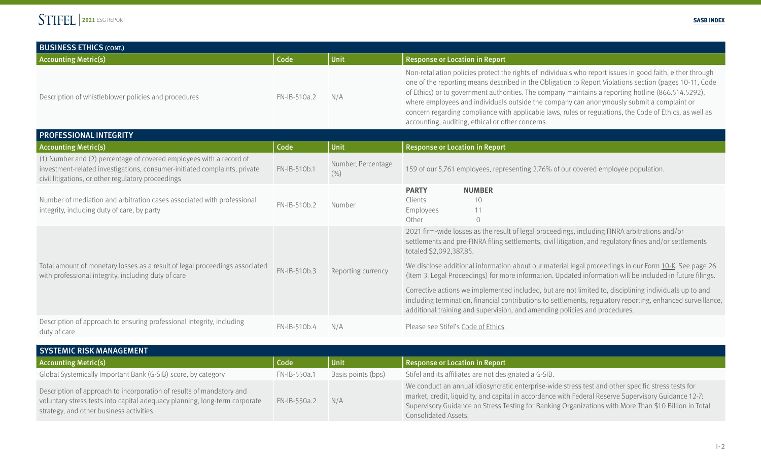| <b>BUSINESS ETHICS (CONT.)</b>                       |              |      |                                                                                                                                                                                                                                                                                                                                                                                                                                                                                                                                                                                        |  |  |  |
|------------------------------------------------------|--------------|------|----------------------------------------------------------------------------------------------------------------------------------------------------------------------------------------------------------------------------------------------------------------------------------------------------------------------------------------------------------------------------------------------------------------------------------------------------------------------------------------------------------------------------------------------------------------------------------------|--|--|--|
| <b>Accounting Metric(s)</b>                          | Code         | Unit | Response or Location in Report                                                                                                                                                                                                                                                                                                                                                                                                                                                                                                                                                         |  |  |  |
| Description of whistleblower policies and procedures | FN-IB-510a.2 | N/A  | Non-retaliation policies protect the rights of individuals who report issues in good faith, either through<br>one of the reporting means described in the Obligation to Report Violations section (pages 10-11, Code<br>of Ethics) or to government authorities. The company maintains a reporting hotline (866.514.5292),<br>where employees and individuals outside the company can anonymously submit a complaint or<br>concern regarding compliance with applicable laws, rules or regulations, the Code of Ethics, as well as<br>accounting, auditing, ethical or other concerns. |  |  |  |

| <b>PROFESSIONAL INTEGRITY</b>                                                                                                                                                                          |              |                            |                                                                                                                                                                                                                                                                                                                                                                                                                                                                                                                                                                                                                                                                                                                                                                  |  |  |
|--------------------------------------------------------------------------------------------------------------------------------------------------------------------------------------------------------|--------------|----------------------------|------------------------------------------------------------------------------------------------------------------------------------------------------------------------------------------------------------------------------------------------------------------------------------------------------------------------------------------------------------------------------------------------------------------------------------------------------------------------------------------------------------------------------------------------------------------------------------------------------------------------------------------------------------------------------------------------------------------------------------------------------------------|--|--|
| <b>Accounting Metric(s)</b>                                                                                                                                                                            | Code         | Unit                       | <b>Response or Location in Report</b>                                                                                                                                                                                                                                                                                                                                                                                                                                                                                                                                                                                                                                                                                                                            |  |  |
| (1) Number and (2) percentage of covered employees with a record of<br>investment-related investigations, consumer-initiated complaints, private<br>civil litigations, or other regulatory proceedings | FN-IB-510b.1 | Number, Percentage<br>(% ) | 159 of our 5,761 employees, representing 2.76% of our covered employee population.                                                                                                                                                                                                                                                                                                                                                                                                                                                                                                                                                                                                                                                                               |  |  |
| Number of mediation and arbitration cases associated with professional<br>integrity, including duty of care, by party                                                                                  | FN-IB-510b.2 | Number                     | <b>PARTY</b><br><b>NUMBER</b><br>Clients<br>10<br>11<br>Employees<br>Other<br>$\bigcap$                                                                                                                                                                                                                                                                                                                                                                                                                                                                                                                                                                                                                                                                          |  |  |
| Total amount of monetary losses as a result of legal proceedings associated<br>with professional integrity, including duty of care                                                                     | FN-IB-510b.3 | Reporting currency         | 2021 firm-wide losses as the result of legal proceedings, including FINRA arbitrations and/or<br>settlements and pre-FINRA filing settlements, civil litigation, and regulatory fines and/or settlements<br>totaled \$2,092,387.85.<br>We disclose additional information about our material legal proceedings in our Form 10-K. See page 26<br>(Item 3. Legal Proceedings) for more information. Updated information will be included in future filings.<br>Corrective actions we implemented included, but are not limited to, disciplining individuals up to and<br>including termination, financial contributions to settlements, regulatory reporting, enhanced surveillance,<br>additional training and supervision, and amending policies and procedures. |  |  |
| Description of approach to ensuring professional integrity, including<br>duty of care                                                                                                                  | FN-IB-510b.4 | N/A                        | Please see Stifel's Code of Ethics.                                                                                                                                                                                                                                                                                                                                                                                                                                                                                                                                                                                                                                                                                                                              |  |  |

| SYSTEMIC RISK MANAGEMENT                                                                                                                                                                      |              |                    |                                                                                                                                                                                                                                                                                                                                             |  |  |
|-----------------------------------------------------------------------------------------------------------------------------------------------------------------------------------------------|--------------|--------------------|---------------------------------------------------------------------------------------------------------------------------------------------------------------------------------------------------------------------------------------------------------------------------------------------------------------------------------------------|--|--|
| <b>Accounting Metric(s)</b>                                                                                                                                                                   | Code         | Unit               | <b>Response or Location in Report</b>                                                                                                                                                                                                                                                                                                       |  |  |
| Global Systemically Important Bank (G-SIB) score, by category                                                                                                                                 | FN-IB-550a.1 | Basis points (bps) | Stifel and its affiliates are not designated a G-SIB.                                                                                                                                                                                                                                                                                       |  |  |
| Description of approach to incorporation of results of mandatory and<br>voluntary stress tests into capital adequacy planning, long-term corporate<br>strategy, and other business activities | FN-IB-550a.2 | N/A                | We conduct an annual idiosyncratic enterprise-wide stress test and other specific stress tests for<br>market, credit, liquidity, and capital in accordance with Federal Reserve Supervisory Guidance 12-7:<br>Supervisory Guidance on Stress Testing for Banking Organizations with More Than \$10 Billion in Total<br>Consolidated Assets. |  |  |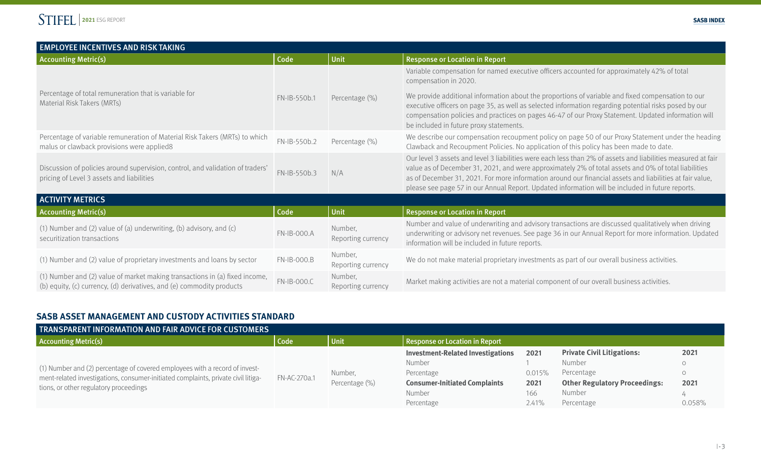| <b>EMPLOYEE INCENTIVES AND RISK TAKING</b>                                                                                                           |                    |                               |                                                                                                                                                                                                                                                                                                                                                                                                                                      |
|------------------------------------------------------------------------------------------------------------------------------------------------------|--------------------|-------------------------------|--------------------------------------------------------------------------------------------------------------------------------------------------------------------------------------------------------------------------------------------------------------------------------------------------------------------------------------------------------------------------------------------------------------------------------------|
| <b>Accounting Metric(s)</b>                                                                                                                          | Code               | Unit                          | <b>Response or Location in Report</b>                                                                                                                                                                                                                                                                                                                                                                                                |
|                                                                                                                                                      |                    |                               | Variable compensation for named executive officers accounted for approximately 42% of total<br>compensation in 2020.                                                                                                                                                                                                                                                                                                                 |
| Percentage of total remuneration that is variable for<br>Material Risk Takers (MRTs)                                                                 | FN-IB-550b.1       | Percentage (%)                | We provide additional information about the proportions of variable and fixed compensation to our<br>executive officers on page 35, as well as selected information regarding potential risks posed by our<br>compensation policies and practices on pages 46-47 of our Proxy Statement. Updated information will<br>be included in future proxy statements.                                                                         |
| Percentage of variable remuneration of Material Risk Takers (MRTs) to which<br>malus or clawback provisions were applied8                            | FN-IB-550b.2       | Percentage (%)                | We describe our compensation recoupment policy on page 50 of our Proxy Statement under the heading<br>Clawback and Recoupment Policies. No application of this policy has been made to date.                                                                                                                                                                                                                                         |
| Discussion of policies around supervision, control, and validation of traders'<br>pricing of Level 3 assets and liabilities                          | FN-IB-550b.3       | N/A                           | Our level 3 assets and level 3 liabilities were each less than 2% of assets and liabilities measured at fair<br>value as of December 31, 2021, and were approximately 2% of total assets and 0% of total liabilities<br>as of December 31, 2021. For more information around our financial assets and liabilities at fair value,<br>please see page 57 in our Annual Report. Updated information will be included in future reports. |
| <b>ACTIVITY METRICS</b>                                                                                                                              |                    |                               |                                                                                                                                                                                                                                                                                                                                                                                                                                      |
| <b>Accounting Metric(s)</b>                                                                                                                          | Code               | Unit                          | <b>Response or Location in Report</b>                                                                                                                                                                                                                                                                                                                                                                                                |
| (1) Number and $(2)$ value of $(a)$ underwriting, $(b)$ advisory, and $(c)$<br>securitization transactions                                           | <b>FN-IB-000.A</b> | Number,<br>Reporting currency | Number and value of underwriting and advisory transactions are discussed qualitatively when driving<br>underwriting or advisory net revenues. See page 36 in our Annual Report for more information. Updated<br>information will be included in future reports.                                                                                                                                                                      |
| (1) Number and (2) value of proprietary investments and loans by sector                                                                              | <b>FN-IB-000.B</b> | Number,<br>Reporting currency | We do not make material proprietary investments as part of our overall business activities.                                                                                                                                                                                                                                                                                                                                          |
| (1) Number and (2) value of market making transactions in (a) fixed income,<br>(b) equity, (c) currency, (d) derivatives, and (e) commodity products | FN-IB-000.C        | Number,<br>Reporting currency | Market making activities are not a material component of our overall business activities.                                                                                                                                                                                                                                                                                                                                            |

#### **SASB ASSET MANAGEMENT AND CUSTODY ACTIVITIES STANDARD**

| <b>TRANSPARENT INFORMATION AND FAIR ADVICE FOR CUSTOMERS</b>                                                                                                                                               |              |                           |                                          |        |                                      |        |  |
|------------------------------------------------------------------------------------------------------------------------------------------------------------------------------------------------------------|--------------|---------------------------|------------------------------------------|--------|--------------------------------------|--------|--|
| <b>Accounting Metric(s)</b>                                                                                                                                                                                | <b>Code</b>  | <b>Unit</b>               | Response or Location in Report           |        |                                      |        |  |
| (1) Number and (2) percentage of covered employees with a record of invest-<br>ment-related investigations, consumer-initiated complaints, private civil litiga-<br>tions, or other regulatory proceedings | FN-AC-270a.1 | Number.<br>Percentage (%) | <b>Investment-Related Investigations</b> | 2021   | <b>Private Civil Litigations:</b>    | 2021   |  |
|                                                                                                                                                                                                            |              |                           | <b>Number</b>                            |        | Number                               |        |  |
|                                                                                                                                                                                                            |              |                           | Percentage                               | 0.015% | Percentage                           |        |  |
|                                                                                                                                                                                                            |              |                           | <b>Consumer-Initiated Complaints</b>     | 2021   | <b>Other Regulatory Proceedings:</b> | 2021   |  |
|                                                                                                                                                                                                            |              |                           | <b>Number</b>                            | 166    | Number                               |        |  |
|                                                                                                                                                                                                            |              |                           | Percentage                               | 2.41%  | Percentage                           | 0.058% |  |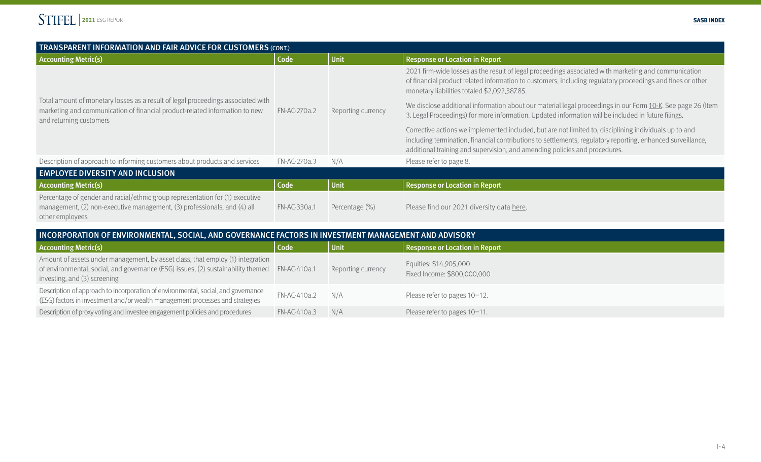| TRANSPARENT INFORMATION AND FAIR ADVICE FOR CUSTOMERS (CONT.)                                                                                                                              |              |                    |                                                                                                                                                                                                                                                                                                     |  |  |
|--------------------------------------------------------------------------------------------------------------------------------------------------------------------------------------------|--------------|--------------------|-----------------------------------------------------------------------------------------------------------------------------------------------------------------------------------------------------------------------------------------------------------------------------------------------------|--|--|
| <b>Accounting Metric(s)</b>                                                                                                                                                                | Code         | Unit               | Response or Location in Report                                                                                                                                                                                                                                                                      |  |  |
| Total amount of monetary losses as a result of legal proceedings associated with<br>marketing and communication of financial product-related information to new<br>and returning customers | FN-AC-270a.2 | Reporting currency | 2021 firm-wide losses as the result of legal proceedings associated with marketing and communication<br>of financial product related information to customers, including regulatory proceedings and fines or other<br>monetary liabilities totaled \$2,092,387.85.                                  |  |  |
|                                                                                                                                                                                            |              |                    | We disclose additional information about our material legal proceedings in our Form 10-K. See page 26 (Item<br>3. Legal Proceedings) for more information. Updated information will be included in future filings.                                                                                  |  |  |
|                                                                                                                                                                                            |              |                    | Corrective actions we implemented included, but are not limited to, disciplining individuals up to and<br>including termination, financial contributions to settlements, regulatory reporting, enhanced surveillance,<br>additional training and supervision, and amending policies and procedures. |  |  |
| Description of approach to informing customers about products and services                                                                                                                 | FN-AC-270a.3 | N/A                | Please refer to page 8.                                                                                                                                                                                                                                                                             |  |  |
| <b>EMPLOYEE DIVERSITY AND INCLUSION</b>                                                                                                                                                    |              |                    |                                                                                                                                                                                                                                                                                                     |  |  |
| <b>Accounting Metric(s)</b>                                                                                                                                                                | Code         | Unit               | Response or Location in Report                                                                                                                                                                                                                                                                      |  |  |
| Percentage of gender and racial/ethnic group representation for (1) executive<br>management, (2) non-executive management, (3) professionals, and (4) all<br>other employees               | FN-AC-330a.1 | Percentage (%)     | Please find our 2021 diversity data here.                                                                                                                                                                                                                                                           |  |  |

| INCORPORATION OF ENVIRONMENTAL, SOCIAL, AND GOVERNANCE FACTORS IN INVESTMENT MANAGEMENT AND ADVISORY                                                                                                            |              |                    |                                                       |  |  |  |
|-----------------------------------------------------------------------------------------------------------------------------------------------------------------------------------------------------------------|--------------|--------------------|-------------------------------------------------------|--|--|--|
| <b>Accounting Metric(s)</b>                                                                                                                                                                                     | Code         | Unit               | <b>Response or Location in Report</b>                 |  |  |  |
| Amount of assets under management, by asset class, that employ (1) integration<br>of environmental, social, and governance (ESG) issues, (2) sustainability themed FN-AC-410a.1<br>investing, and (3) screening |              | Reporting currency | Equities: \$14,905,000<br>Fixed Income: \$800,000,000 |  |  |  |
| Description of approach to incorporation of environmental, social, and governance<br>(ESG) factors in investment and/or wealth management processes and strategies                                              | FN-AC-410a.2 | N/A                | Please refer to pages 10-12.                          |  |  |  |
| Description of proxy voting and investee engagement policies and procedures                                                                                                                                     | FN-AC-410a.3 | N/A                | Please refer to pages 10-11.                          |  |  |  |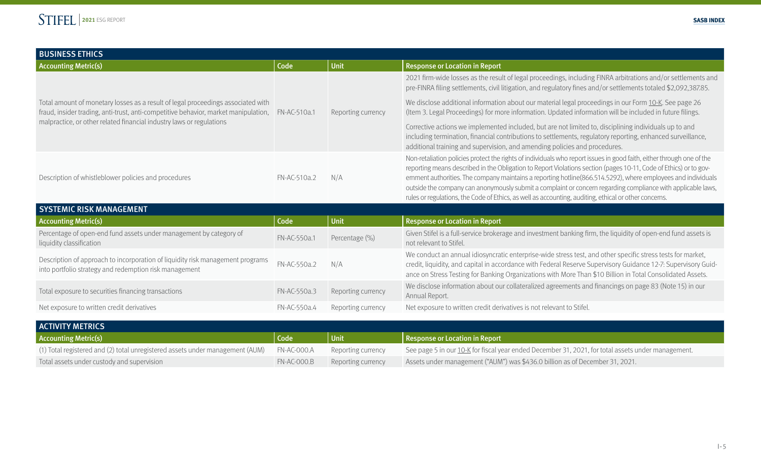| <b>BUSINESS ETHICS</b>                                                                                                                                                               |                    |                    |                                                                                                                                                                                                                                                                                                                                                                                                                                                                                                                                                                                      |
|--------------------------------------------------------------------------------------------------------------------------------------------------------------------------------------|--------------------|--------------------|--------------------------------------------------------------------------------------------------------------------------------------------------------------------------------------------------------------------------------------------------------------------------------------------------------------------------------------------------------------------------------------------------------------------------------------------------------------------------------------------------------------------------------------------------------------------------------------|
| <b>Accounting Metric(s)</b>                                                                                                                                                          | Code               | Unit               | <b>Response or Location in Report</b>                                                                                                                                                                                                                                                                                                                                                                                                                                                                                                                                                |
|                                                                                                                                                                                      |                    |                    | 2021 firm-wide losses as the result of legal proceedings, including FINRA arbitrations and/or settlements and<br>pre-FINRA filing settlements, civil litigation, and regulatory fines and/or settlements totaled \$2,092,387.85.                                                                                                                                                                                                                                                                                                                                                     |
| Total amount of monetary losses as a result of legal proceedings associated with<br>fraud, insider trading, anti-trust, anti-competitive behavior, market manipulation, FN-AC-510a.1 |                    | Reporting currency | We disclose additional information about our material legal proceedings in our Form 10-K. See page 26<br>(Item 3. Legal Proceedings) for more information. Updated information will be included in future filings.                                                                                                                                                                                                                                                                                                                                                                   |
| malpractice, or other related financial industry laws or regulations                                                                                                                 |                    |                    | Corrective actions we implemented included, but are not limited to, disciplining individuals up to and<br>including termination, financial contributions to settlements, regulatory reporting, enhanced surveillance,<br>additional training and supervision, and amending policies and procedures.                                                                                                                                                                                                                                                                                  |
| Description of whistleblower policies and procedures                                                                                                                                 | FN-AC-510a.2       | N/A                | Non-retaliation policies protect the rights of individuals who report issues in good faith, either through one of the<br>reporting means described in the Obligation to Report Violations section (pages 10-11, Code of Ethics) or to gov-<br>ernment authorities. The company maintains a reporting hotline(866.514.5292), where employees and individuals<br>outside the company can anonymously submit a complaint or concern regarding compliance with applicable laws,<br>rules or regulations, the Code of Ethics, as well as accounting, auditing, ethical or other concerns. |
| <b>SYSTEMIC RISK MANAGEMENT</b>                                                                                                                                                      |                    |                    |                                                                                                                                                                                                                                                                                                                                                                                                                                                                                                                                                                                      |
| <b>Accounting Metric(s)</b>                                                                                                                                                          | Code               | <b>Unit</b>        | <b>Response or Location in Report</b>                                                                                                                                                                                                                                                                                                                                                                                                                                                                                                                                                |
| Percentage of open-end fund assets under management by category of<br>liquidity classification                                                                                       | FN-AC-550a.1       | Percentage (%)     | Given Stifel is a full-service brokerage and investment banking firm, the liquidity of open-end fund assets is<br>not relevant to Stifel.                                                                                                                                                                                                                                                                                                                                                                                                                                            |
| Description of approach to incorporation of liquidity risk management programs<br>into portfolio strategy and redemption risk management                                             | FN-AC-550a.2       | N/A                | We conduct an annual idiosyncratic enterprise-wide stress test, and other specific stress tests for market,<br>credit, liquidity, and capital in accordance with Federal Reserve Supervisory Guidance 12-7: Supervisory Guid-<br>ance on Stress Testing for Banking Organizations with More Than \$10 Billion in Total Consolidated Assets.                                                                                                                                                                                                                                          |
| Total exposure to securities financing transactions                                                                                                                                  | FN-AC-550a.3       | Reporting currency | We disclose information about our collateralized agreements and financings on page 83 (Note 15) in our<br>Annual Report.                                                                                                                                                                                                                                                                                                                                                                                                                                                             |
| Net exposure to written credit derivatives                                                                                                                                           | FN-AC-550a.4       | Reporting currency | Net exposure to written credit derivatives is not relevant to Stifel.                                                                                                                                                                                                                                                                                                                                                                                                                                                                                                                |
|                                                                                                                                                                                      |                    |                    |                                                                                                                                                                                                                                                                                                                                                                                                                                                                                                                                                                                      |
| <b>ACTIVITY METRICS</b>                                                                                                                                                              |                    |                    |                                                                                                                                                                                                                                                                                                                                                                                                                                                                                                                                                                                      |
| <b>Accounting Metric(s)</b>                                                                                                                                                          | Code               | Unit               | <b>Response or Location in Report</b>                                                                                                                                                                                                                                                                                                                                                                                                                                                                                                                                                |
| (1) Total registered and (2) total unregistered assets under management (AUM)                                                                                                        | <b>FN-AC-000.A</b> | Reporting currency | See page 5 in our 10-K for fiscal year ended December 31, 2021, for total assets under management.                                                                                                                                                                                                                                                                                                                                                                                                                                                                                   |
| Total assets under custody and supervision                                                                                                                                           | <b>FN-AC-000.B</b> | Reporting currency | Assets under management ("AUM") was \$436.0 billion as of December 31, 2021.                                                                                                                                                                                                                                                                                                                                                                                                                                                                                                         |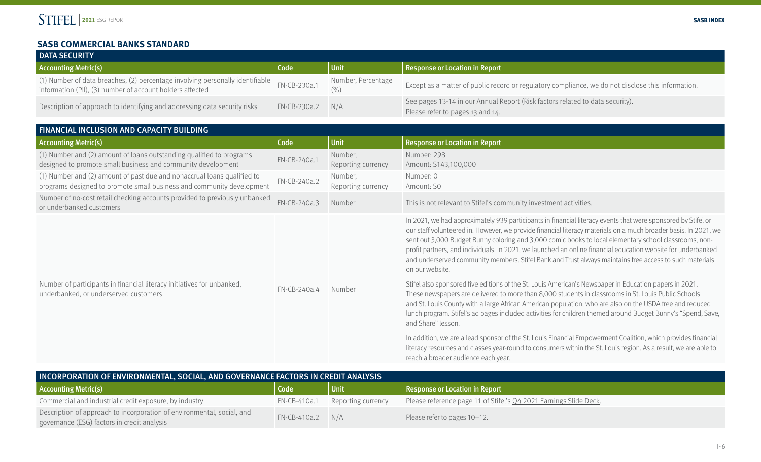#### **SASB COMMERCIAL BANKS STANDARD**

| <b>DATA SECURITY</b>                                                                                                                                      |              |                             |                                                                                                                   |  |  |  |
|-----------------------------------------------------------------------------------------------------------------------------------------------------------|--------------|-----------------------------|-------------------------------------------------------------------------------------------------------------------|--|--|--|
| <b>Accounting Metric(s)</b>                                                                                                                               | Code         | 'Unit                       | Response or Location in Report                                                                                    |  |  |  |
| (1) Number of data breaches, (2) percentage involving personally identifiable $FN-CB-230a.1$<br>information (PII), (3) number of account holders affected |              | Number, Percentage<br>(9/0) | Except as a matter of public record or regulatory compliance, we do not disclose this information.                |  |  |  |
| Description of approach to identifying and addressing data security risks                                                                                 | FN-CB-230a.2 | N/A                         | See pages 13-14 in our Annual Report (Risk factors related to data security).<br>Please refer to pages 13 and 14. |  |  |  |

| <b>FINANCIAL INCLUSION AND CAPACITY BUILDING</b>                                                                                                 |              |                               |                                                                                                                                                                                                                                                                                                                                                                                                                                                                                                                                                                                         |  |  |
|--------------------------------------------------------------------------------------------------------------------------------------------------|--------------|-------------------------------|-----------------------------------------------------------------------------------------------------------------------------------------------------------------------------------------------------------------------------------------------------------------------------------------------------------------------------------------------------------------------------------------------------------------------------------------------------------------------------------------------------------------------------------------------------------------------------------------|--|--|
| <b>Accounting Metric(s)</b>                                                                                                                      | Code         | <b>Unit</b>                   | <b>Response or Location in Report</b>                                                                                                                                                                                                                                                                                                                                                                                                                                                                                                                                                   |  |  |
| (1) Number and (2) amount of loans outstanding qualified to programs<br>designed to promote small business and community development             | FN-CB-240a.1 | Number,<br>Reporting currency | Number: 298<br>Amount: \$143,100,000                                                                                                                                                                                                                                                                                                                                                                                                                                                                                                                                                    |  |  |
| (1) Number and (2) amount of past due and nonaccrual loans qualified to<br>programs designed to promote small business and community development | FN-CB-240a.2 | Number,<br>Reporting currency | Number: 0<br>Amount: \$0                                                                                                                                                                                                                                                                                                                                                                                                                                                                                                                                                                |  |  |
| Number of no-cost retail checking accounts provided to previously unbanked<br>or underbanked customers                                           | FN-CB-240a.3 | Number                        | This is not relevant to Stifel's community investment activities.                                                                                                                                                                                                                                                                                                                                                                                                                                                                                                                       |  |  |
|                                                                                                                                                  |              |                               | In 2021, we had approximately 939 participants in financial literacy events that were sponsored by Stifel or<br>our staff volunteered in. However, we provide financial literacy materials on a much broader basis. In 2021, we<br>sent out 3,000 Budget Bunny coloring and 3,000 comic books to local elementary school classrooms, non-<br>profit partners, and individuals. In 2021, we launched an online financial education website for underbanked<br>and underserved community members. Stifel Bank and Trust always maintains free access to such materials<br>on our website. |  |  |
| Number of participants in financial literacy initiatives for unbanked,<br>underbanked, or underserved customers                                  | FN-CB-240a.4 | Number                        | Stifel also sponsored five editions of the St. Louis American's Newspaper in Education papers in 2021.<br>These newspapers are delivered to more than 8,000 students in classrooms in St. Louis Public Schools<br>and St. Louis County with a large African American population, who are also on the USDA free and reduced<br>lunch program. Stifel's ad pages included activities for children themed around Budget Bunny's "Spend, Save,<br>and Share" lesson.                                                                                                                        |  |  |
|                                                                                                                                                  |              |                               | In addition, we are a lead sponsor of the St. Louis Financial Empowerment Coalition, which provides financial<br>literacy resources and classes year-round to consumers within the St. Louis region. As a result, we are able to<br>reach a broader audience each year.                                                                                                                                                                                                                                                                                                                 |  |  |

| INCORPORATION OF ENVIRONMENTAL, SOCIAL, AND GOVERNANCE FACTORS IN CREDIT ANALYSIS                                     |                    |                    |                                                                   |  |  |
|-----------------------------------------------------------------------------------------------------------------------|--------------------|--------------------|-------------------------------------------------------------------|--|--|
| <b>Accounting Metric(s)</b>                                                                                           | Code               | <b>Unit</b>        | Response or Location in Report                                    |  |  |
| Commercial and industrial credit exposure, by industry                                                                | FN-CB-410a.1       | Reporting currency | Please reference page 11 of Stifel's Q4 2021 Earnings Slide Deck. |  |  |
| Description of approach to incorporation of environmental, social, and<br>governance (ESG) factors in credit analysis | $FN-CB-410a.2$ N/A |                    | Please refer to pages 10-12.                                      |  |  |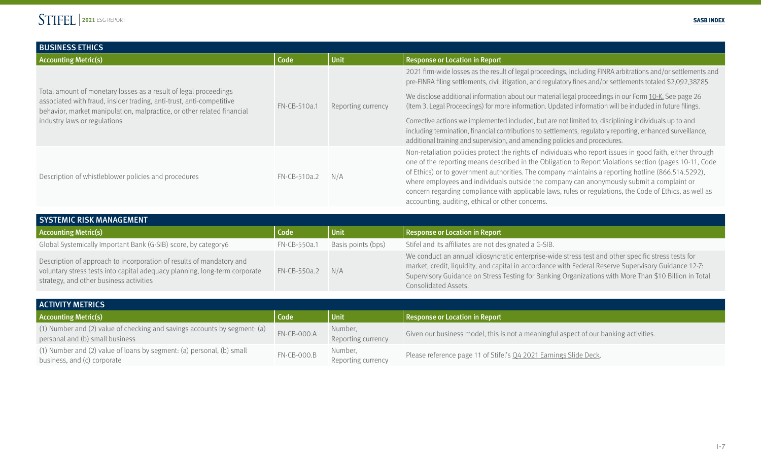#### **2021** [ESG REPORT](#page--1-0) **[SASB INDEX](#page-1-0)**

| <b>BUSINESS ETHICS</b>                                                                                                                                                                                                                             |              |                    |                                                                                                                                                                                                                                                                                                                                                                                                                                                                                                                                                                                        |  |  |
|----------------------------------------------------------------------------------------------------------------------------------------------------------------------------------------------------------------------------------------------------|--------------|--------------------|----------------------------------------------------------------------------------------------------------------------------------------------------------------------------------------------------------------------------------------------------------------------------------------------------------------------------------------------------------------------------------------------------------------------------------------------------------------------------------------------------------------------------------------------------------------------------------------|--|--|
| <b>Accounting Metric(s)</b>                                                                                                                                                                                                                        | Code         | <b>Unit</b>        | <b>Response or Location in Report</b>                                                                                                                                                                                                                                                                                                                                                                                                                                                                                                                                                  |  |  |
| Total amount of monetary losses as a result of legal proceedings<br>associated with fraud, insider trading, anti-trust, anti-competitive<br>behavior, market manipulation, malpractice, or other related financial<br>industry laws or regulations | FN-CB-510a.1 | Reporting currency | 2021 firm-wide losses as the result of legal proceedings, including FINRA arbitrations and/or settlements and<br>pre-FINRA filing settlements, civil litigation, and regulatory fines and/or settlements totaled \$2,092,387.85.                                                                                                                                                                                                                                                                                                                                                       |  |  |
|                                                                                                                                                                                                                                                    |              |                    | We disclose additional information about our material legal proceedings in our Form 10-K. See page 26<br>(Item 3. Legal Proceedings) for more information. Updated information will be included in future filings.                                                                                                                                                                                                                                                                                                                                                                     |  |  |
|                                                                                                                                                                                                                                                    |              |                    | Corrective actions we implemented included, but are not limited to, disciplining individuals up to and<br>including termination, financial contributions to settlements, regulatory reporting, enhanced surveillance,<br>additional training and supervision, and amending policies and procedures.                                                                                                                                                                                                                                                                                    |  |  |
| Description of whistleblower policies and procedures                                                                                                                                                                                               | FN-CB-510a.2 | N/A                | Non-retaliation policies protect the rights of individuals who report issues in good faith, either through<br>one of the reporting means described in the Obligation to Report Violations section (pages 10-11, Code<br>of Ethics) or to government authorities. The company maintains a reporting hotline (866.514.5292),<br>where employees and individuals outside the company can anonymously submit a complaint or<br>concern regarding compliance with applicable laws, rules or regulations, the Code of Ethics, as well as<br>accounting, auditing, ethical or other concerns. |  |  |

| <b>SYSTEMIC RISK MANAGEMENT</b>                                                                                                                                                               |              |                    |                                                                                                                                                                                                                                                                                                                                             |  |  |
|-----------------------------------------------------------------------------------------------------------------------------------------------------------------------------------------------|--------------|--------------------|---------------------------------------------------------------------------------------------------------------------------------------------------------------------------------------------------------------------------------------------------------------------------------------------------------------------------------------------|--|--|
| <b>Accounting Metric(s)</b>                                                                                                                                                                   | Code         | Unit               | Response or Location in Report                                                                                                                                                                                                                                                                                                              |  |  |
| Global Systemically Important Bank (G-SIB) score, by category6                                                                                                                                | FN-CB-550a.1 | Basis points (bps) | Stifel and its affiliates are not designated a G-SIB.                                                                                                                                                                                                                                                                                       |  |  |
| Description of approach to incorporation of results of mandatory and<br>voluntary stress tests into capital adequacy planning, long-term corporate<br>strategy, and other business activities | FN-CB-550a.2 | N/A                | We conduct an annual idiosyncratic enterprise-wide stress test and other specific stress tests for<br>market, credit, liquidity, and capital in accordance with Federal Reserve Supervisory Guidance 12-7:<br>Supervisory Guidance on Stress Testing for Banking Organizations with More Than \$10 Billion in Total<br>Consolidated Assets. |  |  |

| <b>ACTIVITY METRICS</b>                                                                                      |                    |                               |                                                                                      |  |  |
|--------------------------------------------------------------------------------------------------------------|--------------------|-------------------------------|--------------------------------------------------------------------------------------|--|--|
| <b>Accounting Metric(s)</b>                                                                                  | <b>Code</b>        | <b>Unit</b>                   | Response or Location in Report                                                       |  |  |
| (1) Number and (2) value of checking and savings accounts by segment: (a)<br>personal and (b) small business | <b>FN-CB-000.A</b> | Number,<br>Reporting currency | Given our business model, this is not a meaningful aspect of our banking activities. |  |  |
| (1) Number and (2) value of loans by segment: (a) personal, (b) small<br>business, and (c) corporate         | <b>FN-CB-000.B</b> | Number,<br>Reporting currency | Please reference page 11 of Stifel's Q4 2021 Earnings Slide Deck.                    |  |  |